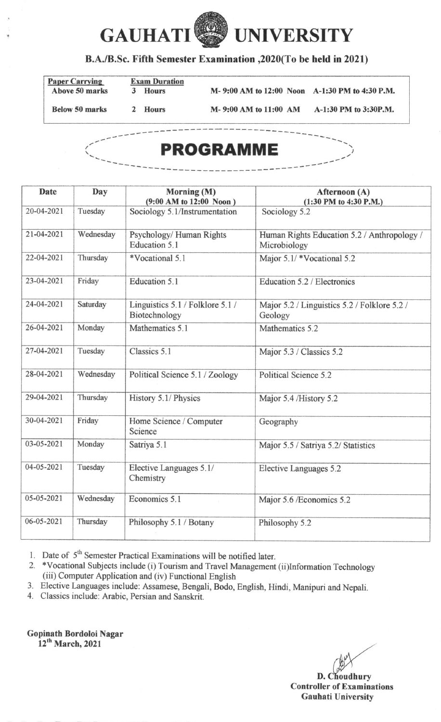

## B.A./B.Sc. Fifth Semester Examination ,2020(To be held in 2021)

| <b>Paper Carrying</b> |   | <b>Exam Duration</b> |  |                       |                                                |
|-----------------------|---|----------------------|--|-----------------------|------------------------------------------------|
| Above 50 marks        | К | <b>Hours</b>         |  |                       | M-9:00 AM to 12:00 Noon A-1:30 PM to 4:30 P.M. |
| <b>Below 50 marks</b> |   | 2 Hours              |  | M-9:00 AM to 11:00 AM | A-1:30 PM to 3:30P.M.                          |

**PROGRAMME** 

| <b>Date</b><br>Day     |           | Morning (M)<br>(9:00 AM to 12:00 Noon)            | Afternoon (A)<br>$(1:30$ PM to 4:30 P.M.)                   |  |  |
|------------------------|-----------|---------------------------------------------------|-------------------------------------------------------------|--|--|
| 20-04-2021             | Tuesday   | Sociology 5.1/Instrumentation                     | Sociology 5.2                                               |  |  |
| 21-04-2021             | Wednesday | Psychology/Human Rights<br>Education 5.1          | Human Rights Education 5.2 / Anthropology /<br>Microbiology |  |  |
| 22-04-2021             | Thursday  | *Vocational 5.1                                   | Major 5.1/*Vocational 5.2                                   |  |  |
| 23-04-2021             | Friday    | Education 5.1                                     | Education 5.2 / Electronics                                 |  |  |
| 24-04-2021             | Saturday  | Linguistics 5.1 / Folklore 5.1 /<br>Biotechnology | Major 5.2 / Linguistics 5.2 / Folklore 5.2 /<br>Geology     |  |  |
| 26-04-2021             | Monday    | Mathematics 5.1                                   | Mathematics 5.2                                             |  |  |
| 27-04-2021             | Tuesday   | Classics 5.1                                      | Major 5.3 / Classics 5.2                                    |  |  |
| 28-04-2021             | Wednesday | Political Science 5.1 / Zoology                   | Political Science 5.2                                       |  |  |
| 29-04-2021             | Thursday  | History 5.1/ Physics                              | Major 5.4 /History 5.2                                      |  |  |
| 30-04-2021             | Friday    | Home Science / Computer<br>Science                | Geography                                                   |  |  |
| 03-05-2021             | Monday    | Satriya 5.1                                       | Major 5.5 / Satriya 5.2/ Statistics                         |  |  |
| 04-05-2021             | Tuesday   | Elective Languages 5.1/<br>Chemistry              | Elective Languages 5.2                                      |  |  |
| 05-05-2021             | Wednesday | Economics 5.1                                     | Major 5.6 /Economics 5.2                                    |  |  |
| 06-05-2021<br>Thursday |           | Philosophy 5.1 / Botany                           | Philosophy 5.2                                              |  |  |

1. Date of  $5<sup>th</sup>$  Semester Practical Examinations will be notified later.

2. \*Vocational Subjects include (i) Tourism and Travel Management (ii)Information Technology (iii) Computer Application and (iv) Functional English

3. Elective Languages include: Assamese, Bengali, Bodo, English, Hindi, Manipuri and Nepali. 4. Classics include: Arabic, Persian and Sanskit.

Gopinath Bordoloi Nagar 12<sup>th</sup> March, 2021

Controller of Examinations **Gauhati University** D. Choudhury